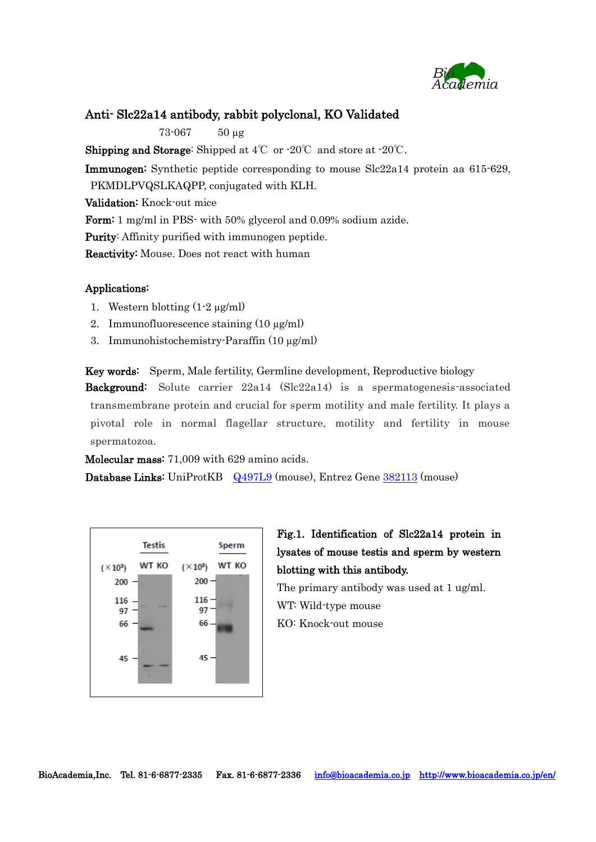

## Anti- Slc22a14 antibody, rabbit polyclonal, KO Validated

73-067 50 µg

**Shipping and Storage:** Shipped at  $4^{\circ}$  or  $-20^{\circ}$  and store at  $-20^{\circ}$ .

Immunogen: Synthetic peptide corresponding to mouse Slc22a14 protein aa 615-629, PKMDLPVQSLKAQPP, conjugated with KLH.

Validation: Knock-out mice

Form: 1 mg/ml in PBS- with 50% glycerol and 0.09% sodium azide.

Purity: Affinity purified with immunogen peptide.

Reactivity: Mouse. Does not react with human

## Applications:

- 1. Western blotting  $(1-2 \mu g/ml)$
- 2. Immunofluorescence staining  $(10 \mu g/ml)$
- 3. Immunohistochemistry-Paraffin (10 µg/ml)

Key words: Sperm, Male fertility, Germline development, Reproductive biology Background: Solute carrier 22a14 (Slc22a14) is a spermatogenesis-associated transmembrane protein and crucial for sperm motility and male fertility. It plays a pivotal role in normal flagellar structure, motility and fertility in mouse spermatozoa.

Molecular mass: 71,009 with 629 amino acids.

Database Links: UniProtKB [Q497L9](http://www.uniprot.org/uniprot/Q497L9) (mouse), Entrez Gene [382113](https://www.ncbi.nlm.nih.gov/gene?cmd=Retrieve&dopt=Graphics&list_uids=382113) (mouse)



Fig.1. Identification of Slc22a14 protein in lysates of mouse testis and sperm by western blotting with this antibody.

The primary antibody was used at 1 ug/ml. WT: Wild-type mouse KO: Knock-out mouse